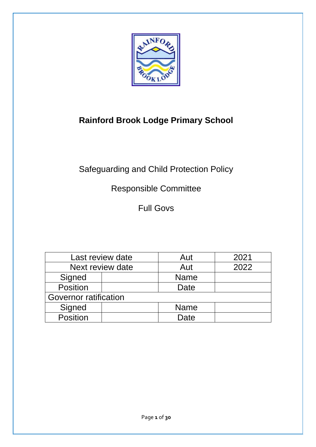

# **Rainford Brook Lodge Primary School**

# Safeguarding and Child Protection Policy

# Responsible Committee

Full Govs

| Last review date      |  | Aut         | 2021 |
|-----------------------|--|-------------|------|
| Next review date      |  | Aut         | 2022 |
| Signed                |  | <b>Name</b> |      |
| Position              |  | Date        |      |
| Governor ratification |  |             |      |
| Signed                |  | <b>Name</b> |      |
| Position              |  | Date        |      |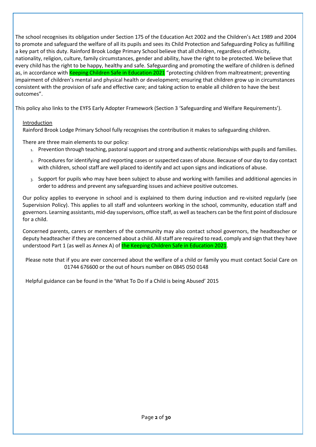The school recognises its obligation under Section 175 of the Education Act 2002 and the Children's Act 1989 and 2004 to promote and safeguard the welfare of all its pupils and sees its Child Protection and Safeguarding Policy as fulfilling a key part of this duty. Rainford Brook Lodge Primary School believe that all children, regardless of ethnicity, nationality, religion, culture, family circumstances, gender and ability, have the right to be protected. We believe that every child has the right to be happy, healthy and safe. Safeguarding and promoting the welfare of children is defined as, in accordance with Keeping Children Safe in Education 2021 "protecting children from maltreatment; preventing impairment of children's mental and physical health or development; ensuring that children grow up in circumstances consistent with the provision of safe and effective care; and taking action to enable all children to have the best outcomes".

This policy also links to the EYFS Early Adopter Framework (Section 3 'Safeguarding and Welfare Requirements').

# **Introduction**

Rainford Brook Lodge Primary School fully recognises the contribution it makes to safeguarding children.

There are three main elements to our policy:

- 1. Prevention through teaching, pastoral support and strong and authentic relationships with pupils and families.
- 2. Procedures for identifying and reporting cases or suspected cases of abuse. Because of our day to day contact with children, school staff are well placed to identify and act upon signs and indications of abuse.
- 3. Support for pupils who may have been subject to abuse and working with families and additional agencies in orderto address and prevent any safeguarding issues and achieve positive outcomes.

Our policy applies to everyone in school and is explained to them during induction and re-visited regularly (see Supervision Policy). This applies to all staff and volunteers working in the school, community, education staff and governors. Learning assistants, mid-day supervisors, office staff, as well as teachers can be the first point of disclosure for a child.

Concerned parents, carers or members of the community may also contact school governors, the headteacher or deputy headteacher if they are concerned about a child. All staff are required to read, comply and sign that they have understood Part 1 (as well as Annex A) of the Keeping Children Safe in Education 2021.

Please note that if you are ever concerned about the welfare of a child or family you must contact Social Care on 01744 676600 or the out of hours number on 0845 050 0148

Helpful guidance can be found in the 'What To Do If a Child is being Abused' 2015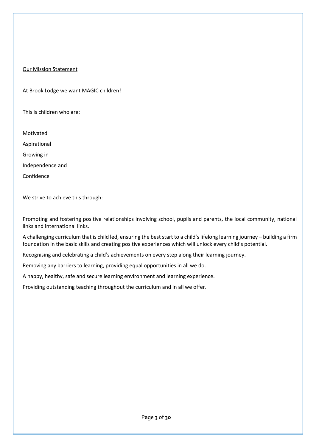# Our Mission Statement

At Brook Lodge we want MAGIC children!

This is children who are:

Motivated Aspirational Growing in Independence and Confidence

We strive to achieve this through:

Promoting and fostering positive relationships involving school, pupils and parents, the local community, national links and international links.

A challenging curriculum that is child led, ensuring the best start to a child's lifelong learning journey – building a firm foundation in the basic skills and creating positive experiences which will unlock every child's potential.

Recognising and celebrating a child's achievements on every step along their learning journey.

Removing any barriers to learning, providing equal opportunities in all we do.

A happy, healthy, safe and secure learning environment and learning experience.

Providing outstanding teaching throughout the curriculum and in all we offer.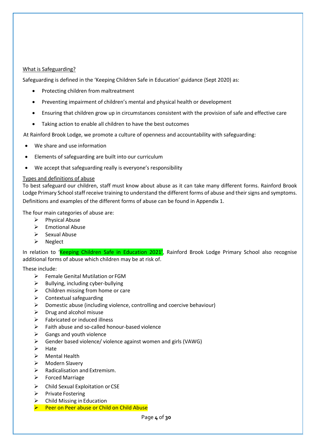# What is Safeguarding?

Safeguarding is defined in the 'Keeping Children Safe in Education' guidance (Sept 2020) as:

- Protecting children from maltreatment
- Preventing impairment of children's mental and physical health or development
- Ensuring that children grow up in circumstances consistent with the provision of safe and effective care
- Taking action to enable all children to have the best outcomes

At Rainford Brook Lodge, we promote a culture of openness and accountability with safeguarding:

- We share and use information
- Elements of safeguarding are built into our curriculum
- We accept that safeguarding really is everyone's responsibility

# Types and definitions of abuse

To best safeguard our children, staff must know about abuse as it can take many different forms. Rainford Brook Lodge Primary School staff receive training to understand the different forms of abuse and their signs and symptoms. Definitions and examples of the different forms of abuse can be found in Appendix 1.

The four main categories of abuse are:

- ➢ Physical Abuse
- ➢ Emotional Abuse
- ➢ Sexual Abuse
- ➢ Neglect

In relation to 'Keeping Children Safe in Education 2021', Rainford Brook Lodge Primary School also recognise additional forms of abuse which children may be at risk of.

These include:

- ➢ Female Genital Mutilation or FGM
- $\triangleright$  Bullying, including cyber-bullying
- $\triangleright$  Children missing from home or care
- $\triangleright$  Contextual safeguarding
- $\triangleright$  Domestic abuse (including violence, controlling and coercive behaviour)
- $\triangleright$  Drug and alcohol misuse
- $\triangleright$  Fabricated or induced illness
- ➢ Faith abuse and so-called honour-based violence
- $\triangleright$  Gangs and youth violence
- ➢ Gender based violence/ violence against women and girls (VAWG)
- ➢ Hate
- ➢ Mental Health
- Modern Slavery
- ➢ Radicalisation and Extremism.
- ➢ Forced Marriage
- ➢ Child Sexual Exploitation orCSE
- ➢ Private Fostering
- ➢ Child Missing in Education
- ➢ Peer on Peer abuse or Child on Child Abuse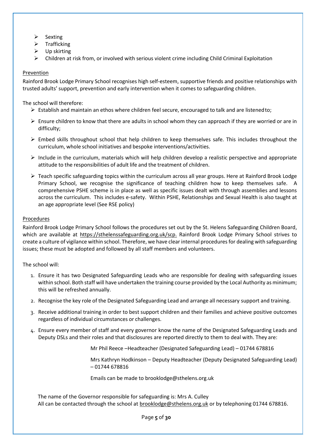- ➢ Sexting
- ➢ Trafficking
- $\triangleright$  Up skirting
- $\triangleright$  Children at risk from, or involved with serious violent crime including Child Criminal Exploitation

# Prevention

Rainford Brook Lodge Primary School recognises high self-esteem, supportive friends and positive relationships with trusted adults' support, prevention and early intervention when it comes to safeguarding children.

## The school will therefore:

- $\triangleright$  Establish and maintain an ethos where children feel secure, encouraged to talk and are listened to;
- ➢ Ensure children to know that there are adults in school whom they can approach if they are worried or are in difficulty;
- $\triangleright$  Embed skills throughout school that help children to keep themselves safe. This includes throughout the curriculum, whole school initiatives and bespoke interventions/activities.
- $\triangleright$  Include in the curriculum, materials which will help children develop a realistic perspective and appropriate attitude to the responsibilities of adult life and the treatment of children.
- $\triangleright$  Teach specific safeguarding topics within the curriculum across all year groups. Here at Rainford Brook Lodge Primary School, we recognise the significance of teaching children how to keep themselves safe. A comprehensive PSHE scheme is in place as well as specific issues dealt with through assemblies and lessons across the curriculum. This includes e-safety. Within PSHE, Relationships and Sexual Health is also taught at an age appropriate level (See RSE policy)

#### Procedures

Rainford Brook Lodge Primary School follows the procedures set out by the St. Helens Safeguarding Children Board, which are available at [https://sthelenssafeguarding.org.uk/scp.](https://sthelenssafeguarding.org.uk/scp) Rainford Brook Lodge Primary School strives to create a culture of vigilance within school. Therefore, we have clear internal procedures for dealing with safeguarding issues; these must be adopted and followed by all staff members and volunteers.

#### The school will:

- 1. Ensure it has two Designated Safeguarding Leads who are responsible for dealing with safeguarding issues within school. Both staff will have undertaken the training course provided by the Local Authority as minimum; this will be refreshed annually.
- 2. Recognise the key role of the Designated Safeguarding Lead and arrange all necessary support and training.
- 3. Receive additional training in order to best support children and their families and achieve positive outcomes regardless of individual circumstances or challenges.
- 4. Ensure every member of staff and every governor know the name of the Designated Safeguarding Leads and Deputy DSLs and their roles and that disclosures are reported directly to them to deal with. They are:

Mr Phil Reece –Headteacher (Designated Safeguarding Lead) – 01744 678816

Mrs Kathryn Hodkinson – Deputy Headteacher (Deputy Designated Safeguarding Lead) – 01744 678816

Emails can be made to brooklodge@sthelens.org.uk

The name of the Governor responsible for safeguarding is: Mrs A. Culley All can be contacted through the school at [brooklodge@sthelens.org.uk](mailto:brooklodge@sthelens.org.uk) or by telephoning 01744 678816.

Page **5** of **30**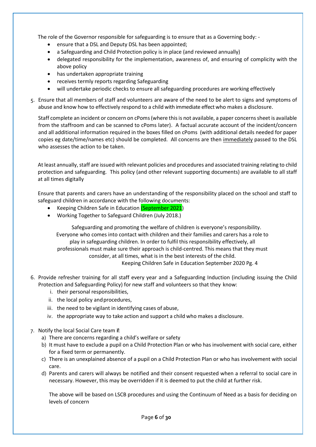The role of the Governor responsible for safeguarding is to ensure that as a Governing body: -

- ensure that a DSL and Deputy DSL has been appointed;
- a Safeguarding and Child Protection policy is in place (and reviewed annually)
- delegated responsibility for the implementation, awareness of, and ensuring of complicity with the above policy
- has undertaken appropriate training
- receives termly reports regarding Safeguarding
- will undertake periodic checks to ensure all safeguarding procedures are working effectively

5. Ensure that all members of staff and volunteers are aware of the need to be alert to signs and symptoms of abuse and know how to effectively respond to a child with immediate effect who makes a disclosure.

Staff complete an incident or concern on cPoms(where this is not available, a paper concerns sheet is available from the staffroom and can be scanned to cPoms later). A factual accurate account of the incident/concern and all additional information required in the boxes filled on cPoms (with additional details needed for paper copies eg date/time/names etc) should be completed. All concerns are then immediately passed to the DSL who assesses the action to be taken.

At least annually, staff are issued with relevant policies and procedures and associated training relating to child protection and safeguarding. This policy (and other relevant supporting documents) are available to all staff at all times digitally

Ensure that parents and carers have an understanding of the responsibility placed on the school and staff to safeguard children in accordance with the following documents:

- **Keeping Children Safe in Education (September 2021)**
- Working Together to Safeguard Children (July 2018.)

Safeguarding and promoting the welfare of children is everyone's responsibility. Everyone who comes into contact with children and their families and carers has a role to play in safeguarding children. In order to fulfil this responsibility effectively, all professionals must make sure their approach is child-centred. This means that they must consider, at all times, what is in the best interests of the child. Keeping Children Safe in Education September 2020 Pg. 4

- 6. Provide refresher training for all staff every year and a Safeguarding Induction (including issuing the Child Protection and Safeguarding Policy) for new staff and volunteers so that they know:
	- i. their personal responsibilities,
	- ii. the local policy and procedures,
	- iii. the need to be vigilant in identifying cases of abuse,
	- iv. the appropriate way to take action and support a child who makes a disclosure.
- 7. Notify the local Social Care team if:
	- a) There are concerns regarding a child's welfare or safety
	- b) It must have to exclude a pupil on a Child Protection Plan or who has involvement with social care, either for a fixed term or permanently.
	- c) There is an unexplained absence of a pupil on a Child Protection Plan or who has involvement with social care.
	- d) Parents and carers will always be notified and their consent requested when a referral to social care in necessary. However, this may be overridden if it is deemed to put the child at further risk.

The above will be based on LSCB procedures and using the Continuum of Need as a basis for deciding on levels of concern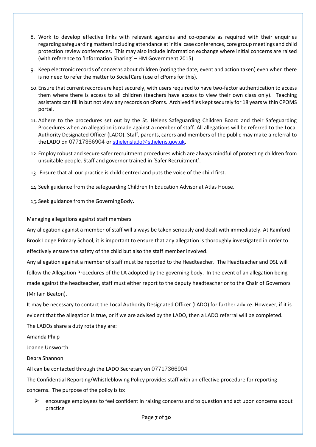- 8. Work to develop effective links with relevant agencies and co-operate as required with their enquiries regarding safeguarding matters including attendance at initial case conferences, core group meetings and child protection review conferences. This may also include information exchange where initial concerns are raised (with reference to 'Information Sharing' – HM Government 2015)
- 9. Keep electronic records of concerns about children (noting the date, event and action taken) even when there is no need to refer the matter to SocialCare (use of cPoms for this).
- 10. Ensure that current records are kept securely, with users required to have two-factor authentication to access them where there is access to all children (teachers have access to view their own class only). Teaching assistants can fill in but not view any records on cPoms. Archived files kept securely for 18 years within CPOMS portal.
- 11. Adhere to the procedures set out by the St. Helens Safeguarding Children Board and their Safeguarding Procedures when an allegation is made against a member of staff. All allegations will be referred to the Local Authority Designated Officer (LADO). Staff, parents, carers and members of the public may make a referral to the LADO on 07717366904 or [sthelenslado@sthelens.gov.uk](mailto:sthelenslado@sthelens.gov.uk).
- 12.Employ robust and secure safer recruitment procedures which are always mindful of protecting children from unsuitable people. Staff and governor trained in 'Safer Recruitment'.
- 13. Ensure that all our practice is child centred and puts the voice of the child first.

14.Seek guidance from the safeguarding Children In Education Advisor at Atlas House.

15. Seek guidance from the GoverningBody.

#### Managing allegations against staff members

Any allegation against a member of staff will always be taken seriously and dealt with immediately. At Rainford Brook Lodge Primary School, it is important to ensure that any allegation is thoroughly investigated in order to effectively ensure the safety of the child but also the staff member involved.

Any allegation against a member of staff must be reported to the Headteacher. The Headteacher and DSL will follow the Allegation Procedures of the LA adopted by the governing body. In the event of an allegation being made against the headteacher, staff must either report to the deputy headteacher or to the Chair of Governors (Mr Iain Beaton).

It may be necessary to contact the Local Authority Designated Officer (LADO) for further advice. However, if it is evident that the allegation is true, or if we are advised by the LADO, then a LADO referral will be completed. The LADOs share a duty rota they are:

Amanda Philp

Joanne Unsworth

Debra Shannon

All can be contacted through the LADO Secretary on 07717366904

The Confidential Reporting/Whistleblowing Policy provides staff with an effective procedure for reporting

concerns. The purpose of the policy is to:

➢ encourage employees to feel confident in raising concerns and to question and act upon concerns about practice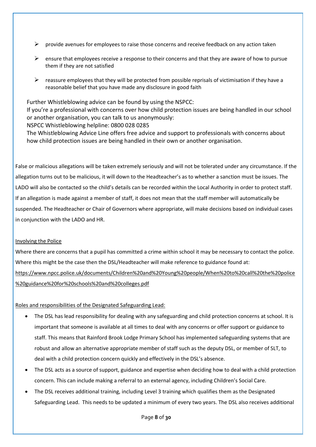- $\triangleright$  provide avenues for employees to raise those concerns and receive feedback on any action taken
- $\triangleright$  ensure that employees receive a response to their concerns and that they are aware of how to pursue them if they are not satisfied
- $\triangleright$  reassure employees that they will be protected from possible reprisals of victimisation if they have a reasonable belief that you have made any disclosure in good faith

Further Whistleblowing advice can be found by using the NSPCC: If you're a professional with concerns over how child protection issues are being handled in our school or another organisation, you can talk to us anonymously: NSPCC Whistleblowing helpline: 0800 028 0285

The Whistleblowing Advice Line offers free advice and support to professionals with concerns about how child protection issues are being handled in their own or another organisation.

False or malicious allegations will be taken extremely seriously and will not be tolerated under any circumstance. If the allegation turns out to be malicious, it will down to the Headteacher's as to whether a sanction must be issues. The LADO will also be contacted so the child's details can be recorded within the Local Authority in order to protect staff. If an allegation is made against a member of staff, it does not mean that the staff member will automatically be suspended. The Headteacher or Chair of Governors where appropriate, will make decisions based on individual cases in conjunction with the LADO and HR.

# Involving the Police

Where there are concerns that a pupil has committed a crime within school it may be necessary to contact the police. Where this might be the case then the DSL/Headteacher will make reference to guidance found at: [https://www.npcc.police.uk/documents/Children%20and%20Young%20people/When%20to%20call%20the%20police](https://www.npcc.police.uk/documents/Children%20and%20Young%20people/When%20to%20call%20the%20police%20guidance%20for%20schools%20and%20colleges.pdf) [%20guidance%20for%20schools%20and%20colleges.pdf](https://www.npcc.police.uk/documents/Children%20and%20Young%20people/When%20to%20call%20the%20police%20guidance%20for%20schools%20and%20colleges.pdf)

# Roles and responsibilities of the Designated Safeguarding Lead:

- The DSL has lead responsibility for dealing with any safeguarding and child protection concerns at school. It is important that someone is available at all times to deal with any concerns or offer support or guidance to staff. This means that Rainford Brook Lodge Primary School has implemented safeguarding systems that are robust and allow an alternative appropriate member of staff such as the deputy DSL, or member of SLT, to deal with a child protection concern quickly and effectively in the DSL's absence.
- The DSL acts as a source of support, guidance and expertise when deciding how to deal with a child protection concern. This can include making a referral to an external agency, including Children's Social Care.
- The DSL receives additional training, including Level 3 training which qualifies them as the Designated Safeguarding Lead. This needs to be updated a minimum of every two years. The DSL also receives additional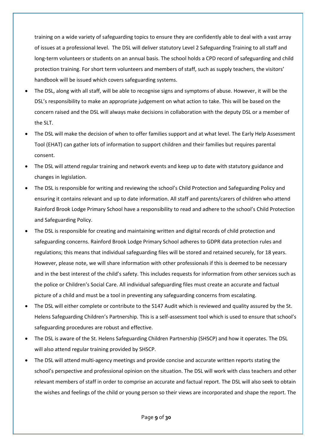training on a wide variety of safeguarding topics to ensure they are confidently able to deal with a vast array of issues at a professional level. The DSL will deliver statutory Level 2 Safeguarding Training to all staff and long-term volunteers or students on an annual basis. The school holds a CPD record of safeguarding and child protection training. For short term volunteers and members of staff, such as supply teachers, the visitors' handbook will be issued which covers safeguarding systems.

- The DSL, along with all staff, will be able to recognise signs and symptoms of abuse. However, it will be the DSL's responsibility to make an appropriate judgement on what action to take. This will be based on the concern raised and the DSL will always make decisions in collaboration with the deputy DSL or a member of the SLT.
- The DSL will make the decision of when to offer families support and at what level. The Early Help Assessment Tool (EHAT) can gather lots of information to support children and their families but requires parental consent.
- The DSL will attend regular training and network events and keep up to date with statutory guidance and changes in legislation.
- The DSL is responsible for writing and reviewing the school's Child Protection and Safeguarding Policy and ensuring it contains relevant and up to date information. All staff and parents/carers of children who attend Rainford Brook Lodge Primary School have a responsibility to read and adhere to the school's Child Protection and Safeguarding Policy.
- The DSL is responsible for creating and maintaining written and digital records of child protection and safeguarding concerns. Rainford Brook Lodge Primary School adheres to GDPR data protection rules and regulations; this means that individual safeguarding files will be stored and retained securely, for 18 years. However, please note, we will share information with other professionals if this is deemed to be necessary and in the best interest of the child's safety. This includes requests for information from other services such as the police or Children's Social Care. All individual safeguarding files must create an accurate and factual picture of a child and must be a tool in preventing any safeguarding concerns from escalating.
- The DSL will either complete or contribute to the S147 Audit which is reviewed and quality assured by the St. Helens Safeguarding Children's Partnership. This is a self-assessment tool which is used to ensure that school's safeguarding procedures are robust and effective.
- The DSL is aware of the St. Helens Safeguarding Children Partnership (SHSCP) and how it operates. The DSL will also attend regular training provided by SHSCP.
- The DSL will attend multi-agency meetings and provide concise and accurate written reports stating the school's perspective and professional opinion on the situation. The DSL will work with class teachers and other relevant members of staff in order to comprise an accurate and factual report. The DSL will also seek to obtain the wishes and feelings of the child or young person so their views are incorporated and shape the report. The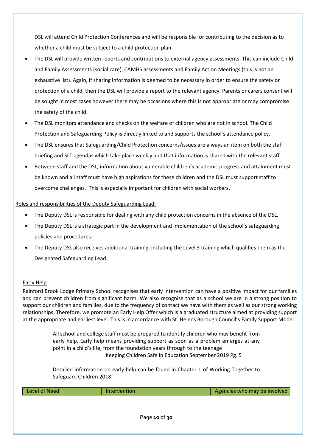DSL will attend Child Protection Conferences and will be responsible for contributing to the decision as to whether a child must be subject to a child protection plan.

- The DSL will provide written reports and contributions to external agency assessments. This can include Child and Family Assessments (social care), CAMHS assessments and Family Action Meetings (this is not an exhaustive list). Again, if sharing information is deemed to be necessary in order to ensure the safety or protection of a child, then the DSL will provide a report to the relevant agency. Parents or carers consent will be sought in most cases however there may be occasions where this is not appropriate or may compromise the safety of the child.
- The DSL monitors attendance and checks on the welfare of children who are not in school. The Child Protection and Safeguarding Policy is directly linked to and supports the school's attendance policy.
- The DSL ensures that Safeguarding/Child Protection concerns/issues are always an item on both the staff briefing and SLT agendas which take place weekly and that information is shared with the relevant staff.
- Between staff and the DSL, information about vulnerable children's academic progress and attainment must be known and all staff must have high aspirations for these children and the DSL must support staff to overcome challenges. This is especially important for children with social workers.

# Roles and responsibilities of the Deputy Safeguarding Lead:

- The Deputy DSL is responsible for dealing with any child protection concerns in the absence of the DSL.
- The Deputy DSL is a strategic part in the development and implementation of the school's safeguarding policies and procedures.
- The Deputy DSL also receives additional training, including the Level 3 training which qualifies them as the Designated Safeguarding Lead.

# Early Help

Rainford Brook Lodge Primary School recognises that early intervention can have a positive impact for our families and can prevent children from significant harm. We also recognise that as a school we are in a strong position to support our children and families, due to the frequency of contact we have with them as well as our strong working relationships. Therefore, we promote an Early Help Offer which is a graduated structure aimed at providing support at the appropriate and earliest level. This is in accordance with St. Helens Borough Council's Family Support Model.

> All school and college staff must be prepared to identify children who may benefit from early help. Early help means providing support as soon as a problem emerges at any point in a child's life, from the foundation years through to the teenage Keeping Children Safe in Education September 2019 Pg. 5

> Detailed information on early help can be found in Chapter 1 of Working Together to Safeguard Children 2018

| Level of Need | <b>Intervention</b> | Agencies who may be involved |
|---------------|---------------------|------------------------------|
|               |                     |                              |
|               |                     |                              |
|               | Page 10 of 30       |                              |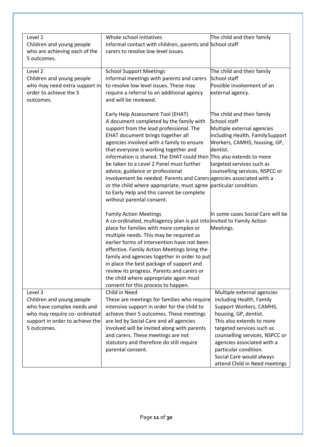| Level 1<br>Children and young people<br>who are achieving each of the<br>5 outcomes.                                                                  | Whole school initiatives<br>Informal contact with children, parents and School staff<br>carers to resolve low level issues.                                                                                                                                                                                                                                                                                                                                                                                                                                                                                                                                                                                                                                                                                                                                                       | The child and their family                                                                                                                                                                                                                                                                                                                  |
|-------------------------------------------------------------------------------------------------------------------------------------------------------|-----------------------------------------------------------------------------------------------------------------------------------------------------------------------------------------------------------------------------------------------------------------------------------------------------------------------------------------------------------------------------------------------------------------------------------------------------------------------------------------------------------------------------------------------------------------------------------------------------------------------------------------------------------------------------------------------------------------------------------------------------------------------------------------------------------------------------------------------------------------------------------|---------------------------------------------------------------------------------------------------------------------------------------------------------------------------------------------------------------------------------------------------------------------------------------------------------------------------------------------|
| Level 2<br>Children and young people<br>who may need extra support in<br>order to achieve the 5<br>outcomes.                                          | <b>School Support Meetings</b><br>Informal meetings with parents and carers<br>to resolve low level issues. These may<br>require a referral to an additional agency<br>and will be reviewed.                                                                                                                                                                                                                                                                                                                                                                                                                                                                                                                                                                                                                                                                                      | The child and their family<br>School staff<br>Possible involvement of an<br>external agency.                                                                                                                                                                                                                                                |
|                                                                                                                                                       | Early Help Assessment Tool (EHAT)<br>A document completed by the family with<br>support from the lead professional. The<br>EHAT document brings together all<br>agencies involved with a family to ensure<br>that everyone is working together and<br>information is shared. The EHAT could then $\overline{f}$ his also extends to more<br>be taken to a Level 2 Panel must further<br>advice, guidance or professional<br>involvement be needed. Parents and Carers agencies associated with a<br>or the child where appropriate, must agree particular condition.<br>to Early Help and this cannot be complete<br>without parental consent.                                                                                                                                                                                                                                    | The child and their family<br>School staff<br>Multiple external agencies<br>including Health, Family Support<br>Workers, CAMHS, housing, GP,<br>dentist.<br>targeted services such as<br>counselling services, NSPCC or                                                                                                                     |
| Level 3<br>Children and young people<br>who have complex needs and<br>who may require co- ordinated<br>support in order to achieve the<br>5 outcomes. | <b>Family Action Meetings</b><br>A co-ordinated, multiagency plan is put into invited to Family Action<br>place for families with more complex or<br>multiple needs. This may be required as<br>earlier forms of intervention have not been<br>effective. Family Action Meetings bring the<br>family and agencies together in order to put<br>in place the best package of support and<br>review its progress. Parents and carers or<br>the child where appropriate again must<br>consent for this process to happen.<br>Child in Need<br>These are meetings for families who require<br>intensive support in order for the child to<br>achieve their 5 outcomes. These meetings<br>are led by Social Care and all agencies<br>involved will be invited along with parents<br>and carers. These meetings are not<br>statutory and therefore do still require<br>parental consent. | In some cases Social Care will be<br>Meetings.<br>Multiple external agencies<br>including Health, Family<br>Support Workers, CAMHS,<br>housing, GP, dentist.<br>This also extends to more<br>targeted services such as<br>counselling services, NSPCC or<br>agencies associated with a<br>particular condition.<br>Social Care would always |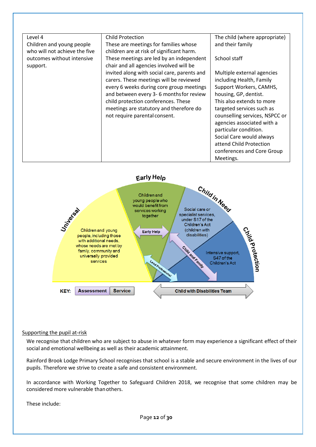| Level 4                       | <b>Child Protection</b>                     | The child (where appropriate)  |
|-------------------------------|---------------------------------------------|--------------------------------|
| Children and young people     | These are meetings for families whose       | and their family               |
| who will not achieve the five | children are at risk of significant harm.   |                                |
| outcomes without intensive    | These meetings are led by an independent    | School staff                   |
| support.                      | chair and all agencies involved will be     |                                |
|                               | invited along with social care, parents and | Multiple external agencies     |
|                               | carers. These meetings will be reviewed     | including Health, Family       |
|                               | every 6 weeks during core group meetings    | Support Workers, CAMHS,        |
|                               | and between every 3-6 months for review     | housing, GP, dentist.          |
|                               | child protection conferences. These         | This also extends to more      |
|                               | meetings are statutory and therefore do     | targeted services such as      |
|                               | not require parental consent.               | counselling services, NSPCC or |
|                               |                                             | agencies associated with a     |
|                               |                                             | particular condition.          |
|                               |                                             | Social Care would always       |
|                               |                                             | attend Child Protection        |
|                               |                                             | conferences and Core Group     |
|                               |                                             | Meetings.                      |



#### Supporting the pupil at-risk

We recognise that children who are subject to abuse in whatever form may experience a significant effect of their social and emotional wellbeing as well as their academic attainment.

Rainford Brook Lodge Primary School recognises that school is a stable and secure environment in the lives of our pupils. Therefore we strive to create a safe and consistent environment.

In accordance with Working Together to Safeguard Children 2018, we recognise that some children may be considered more vulnerable thanothers.

These include: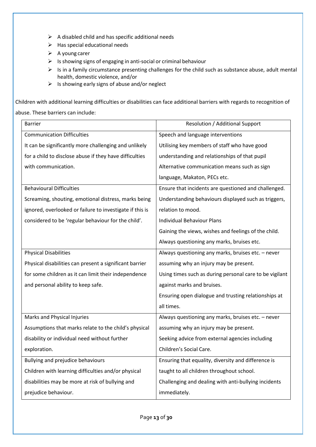- $\triangleright$  A disabled child and has specific additional needs
- ➢ Has special educational needs
- ➢ A young carer
- ➢ Is showing signs of engaging in anti-social or criminal behaviour
- ➢ Is in a family circumstance presenting challenges for the child such as substance abuse, adult mental health, domestic violence, and/or
- $\triangleright$  Is showing early signs of abuse and/or neglect

Children with additional learning difficulties or disabilities can face additional barriers with regards to recognition of abuse. These barriers can include:

| <b>Barrier</b>                                           | Resolution / Additional Support                         |
|----------------------------------------------------------|---------------------------------------------------------|
| <b>Communication Difficulties</b>                        | Speech and language interventions                       |
| It can be significantly more challenging and unlikely    | Utilising key members of staff who have good            |
| for a child to disclose abuse if they have difficulties  | understanding and relationships of that pupil           |
| with communication.                                      | Alternative communication means such as sign            |
|                                                          | language, Makaton, PECs etc.                            |
| <b>Behavioural Difficulties</b>                          | Ensure that incidents are questioned and challenged.    |
| Screaming, shouting, emotional distress, marks being     | Understanding behaviours displayed such as triggers,    |
| ignored, overlooked or failure to investigate if this is | relation to mood.                                       |
| considered to be 'regular behaviour for the child'.      | <b>Individual Behaviour Plans</b>                       |
|                                                          | Gaining the views, wishes and feelings of the child.    |
|                                                          | Always questioning any marks, bruises etc.              |
| <b>Physical Disabilities</b>                             | Always questioning any marks, bruises etc. - never      |
| Physical disabilities can present a significant barrier  | assuming why an injury may be present.                  |
| for some children as it can limit their independence     | Using times such as during personal care to be vigilant |
| and personal ability to keep safe.                       | against marks and bruises.                              |
|                                                          | Ensuring open dialogue and trusting relationships at    |
|                                                          | all times.                                              |
| Marks and Physical Injuries                              | Always questioning any marks, bruises etc. - never      |
| Assumptions that marks relate to the child's physical    | assuming why an injury may be present.                  |
| disability or individual need without further            | Seeking advice from external agencies including         |
| exploration.                                             | Children's Social Care.                                 |
| Bullying and prejudice behaviours                        | Ensuring that equality, diversity and difference is     |
| Children with learning difficulties and/or physical      | taught to all children throughout school.               |
| disabilities may be more at risk of bullying and         | Challenging and dealing with anti-bullying incidents    |
| prejudice behaviour.                                     | immediately.                                            |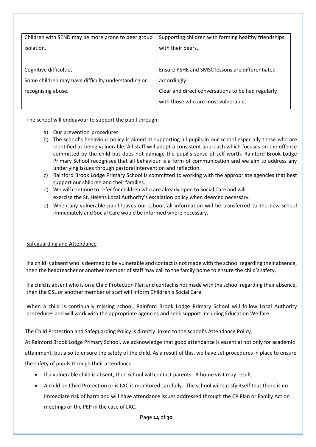| Children with SEND may be more prone to peer group | Supporting children with forming healthy friendships |  |
|----------------------------------------------------|------------------------------------------------------|--|
|                                                    |                                                      |  |
| isolation.                                         | with their peers.                                    |  |
|                                                    |                                                      |  |
|                                                    |                                                      |  |
|                                                    |                                                      |  |
| Cognitive difficulties                             | Ensure PSHE and SMSC lessons are differentiated      |  |
|                                                    |                                                      |  |
| Some children may have difficulty understanding or | accordingly.                                         |  |
|                                                    |                                                      |  |
| recognising abuse.                                 | Clear and direct conversations to be had regularly   |  |
|                                                    |                                                      |  |
|                                                    | with those who are most vulnerable.                  |  |
|                                                    |                                                      |  |

The school will endeavour to support the pupil through:

- a) Our prevention procedures
- b) The school's behaviour policy is aimed at supporting all pupils in our school especially those who are identified as being vulnerable. All staff will adopt a consistent approach which focuses on the offence committed by the child but does not damage the pupil's sense of self-worth. Rainford Brook Lodge Primary School recognises that all behaviour is a form of communication and we aim to address any underlying issues through pastoralintervention and reflection.
- c) Rainford Brook Lodge Primary School is committed to working with the appropriate agencies that best support our children and their families.
- d) We will continue to refer for children who are already open to Social Care and will exercise the St. Helens Local Authority's escalation policy when deemed necessary.
- e) When any vulnerable pupil leaves our school, all information will be transferred to the new school immediately and Social Care would be informed where necessary.

# Safeguarding and Attendance

If a child is absent who is deemed to be vulnerable and contact is not made with the school regarding their absence, then the headteacher or another member of staff may call to the family home to ensure the child'ssafety.

If a child is absent who is on a Child Protection Plan and contact is not made with the school regarding their absence, then the DSL or another member of staff will inform Children's Social Care.

When a child is continually missing school, Rainford Brook Lodge Primary School will follow Local Authority procedures and will work with the appropriate agencies and seek support including Education Welfare.

The Child Protection and Safeguarding Policy is directly linked to the school's Attendance Policy.

At Rainford Brook Lodge Primary School, we acknowledge that good attendance is essential not only for academic attainment, but also to ensure the safety of the child. As a result of this, we have set procedures in place to ensure the safety of pupils through their attendance.

- If a vulnerable child is absent, then school will contact parents. A home visit may result.
- A child on Child Protection or is LAC is monitored carefully. The school will satisfy itself that there is no immediate risk of harm and will have attendance issues addressed through the CP Plan or Family Action meetings or the PEP in the case of LAC.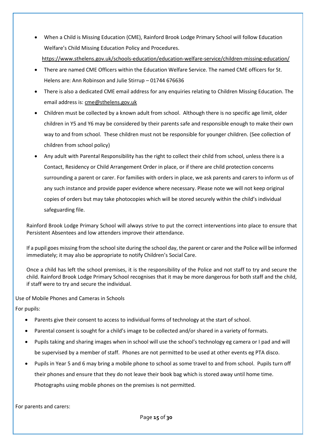- When a Child is Missing Education (CME), Rainford Brook Lodge Primary School will follow Education Welfare's Child Missing Education Policy and Procedures.
	- <https://www.sthelens.gov.uk/schools-education/education-welfare-service/children-missing-education/>
- There are named CME Officers within the Education Welfare Service. The named CME officers for St. Helens are: Ann Robinson and Julie Stirrup – 01744 676636
- There is also a dedicated CME email address for any enquiries relating to Children Missing Education. The email address is[: cme@sthelens.gov.uk](mailto:cme@sthelens.gov.uk)
- Children must be collected by a known adult from school. Although there is no specific age limit, older children in Y5 and Y6 may be considered by their parents safe and responsible enough to make their own way to and from school. These children must not be responsible for younger children. (See collection of children from school policy)
- Any adult with Parental Responsibility has the right to collect their child from school, unless there is a Contact, Residency or Child Arrangement Order in place, or if there are child protection concerns surrounding a parent or carer. For families with orders in place, we ask parents and carers to inform us of any such instance and provide paper evidence where necessary. Please note we will not keep original copies of orders but may take photocopies which will be stored securely within the child's individual safeguarding file.

Rainford Brook Lodge Primary School will always strive to put the correct interventions into place to ensure that Persistent Absentees and low attenders improve their attendance.

If a pupil goes missing from the school site during the school day, the parent or carer and the Police will be informed immediately; it may also be appropriate to notify Children's Social Care.

Once a child has left the school premises, it is the responsibility of the Police and not staff to try and secure the child. Rainford Brook Lodge Primary School recognises that it may be more dangerous for both staff and the child, if staff were to try and secure the individual.

Use of Mobile Phones and Cameras in Schools

For pupils:

- Parents give their consent to access to individual forms of technology at the start of school.
- Parental consent is sought for a child's image to be collected and/or shared in a variety of formats.
- Pupils taking and sharing images when in school will use the school's technology eg camera or I pad and will be supervised by a member of staff. Phones are not permitted to be used at other events eg PTA disco.
- Pupils in Year 5 and 6 may bring a mobile phone to school as some travel to and from school. Pupils turn off their phones and ensure that they do not leave their book bag which is stored away until home time. Photographs using mobile phones on the premises is not permitted.

For parents and carers: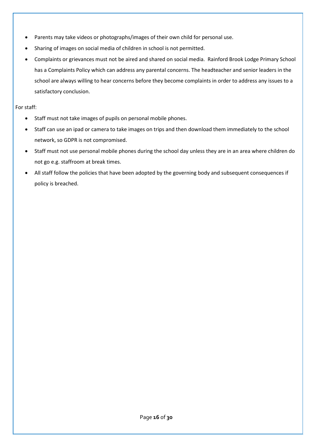- Parents may take videos or photographs/images of their own child for personal use.
- Sharing of images on social media of children in school is not permitted.
- Complaints or grievances must not be aired and shared on social media. Rainford Brook Lodge Primary School has a Complaints Policy which can address any parental concerns. The headteacher and senior leaders in the school are always willing to hear concerns before they become complaints in order to address any issues to a satisfactory conclusion.

# For staff:

- Staff must not take images of pupils on personal mobile phones.
- Staff can use an ipad or camera to take images on trips and then download them immediately to the school network, so GDPR is not compromised.
- Staff must not use personal mobile phones during the school day unless they are in an area where children do not go e.g. staffroom at break times.
- All staff follow the policies that have been adopted by the governing body and subsequent consequences if policy is breached.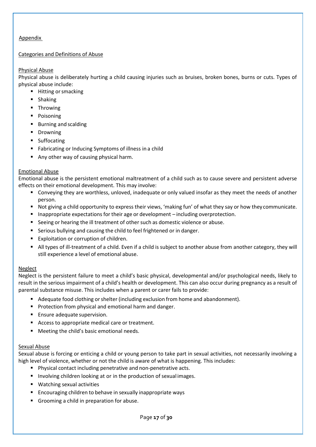# Appendix

# Categories and Definitions of Abuse

## Physical Abuse

Physical abuse is deliberately hurting a child causing injuries such as bruises, broken bones, burns or cuts. Types of physical abuse include:

- Hitting or smacking
- Shaking
- **■** Throwing
- Poisoning
- Burning and scalding
- **•** Drowning
- Suffocating
- Fabricating or Inducing Symptoms of illness in a child
- Any other way of causing physical harm.

## Emotional Abuse

Emotional abuse is the persistent emotional maltreatment of a child such as to cause severe and persistent adverse effects on their emotional development. This may involve:

- Conveying they are worthless, unloved, inadequate or only valued insofar as they meet the needs of another person.
- Not giving a child opportunity to express their views, 'making fun' of what they say or how they communicate.
- Inappropriate expectations for their age or development including overprotection.
- Seeing or hearing the ill treatment of other such as domestic violence or abuse.
- Serious bullying and causing the child to feel frightened or in danger.
- Exploitation or corruption of children.
- All types of ill-treatment of a child. Even if a child is subject to another abuse from another category, they will still experience a level of emotional abuse.

# **Neglect**

Neglect is the persistent failure to meet a child's basic physical, developmental and/or psychological needs, likely to result in the serious impairment of a child's health or development. This can also occur during pregnancy as a result of parental substance misuse. This includes when a parent or carer fails to provide:

- Adequate food clothing or shelter (including exclusion from home and abandonment).
- Protection from physical and emotional harm and danger.
- Ensure adequate supervision.
- Access to appropriate medical care or treatment.
- Meeting the child's basic emotional needs.

#### Sexual Abuse

Sexual abuse is forcing or enticing a child or young person to take part in sexual activities, not necessarily involving a high level of violence, whether or not the child is aware of what is happening. This includes:

- Physical contact including penetrative and non-penetrative acts.
- Involving children looking at or in the production of sexual images.
- Watching sexual activities
- Encouraging children to behave in sexually inappropriate ways
- Grooming a child in preparation for abuse.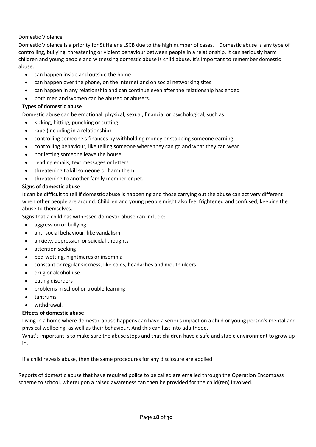# Domestic Violence

Domestic Violence is a priority for St Helens LSCB due to the high number of cases. Domestic abuse is any type of controlling, bullying, threatening or violent behaviour between people in a relationship. It can seriously harm children and young people and witnessing domestic abuse is child abuse. It's important to remember domestic abuse:

- can happen inside and outside the home
- can happen over the phone, on the internet and on social networking sites
- can happen in any relationship and can continue even after the relationship has ended
- both men and women can be abused or abusers.

### **Types of domestic abuse**

Domestic abuse can be emotional, physical, sexual, financial or psychological, such as:

- kicking, hitting, punching or cutting
- rape (including in a relationship)
- controlling someone's finances by withholding money or stopping someone earning
- controlling behaviour, like telling someone where they can go and what they can wear
- not letting someone leave the house
- reading emails, text messages or letters
- threatening to kill someone or harm them
- threatening to another family member or pet.

#### **Signs of domestic abuse**

It can be difficult to tell if domestic abuse is happening and those carrying out the abuse can act very different when other people are around. Children and young people might also feel frightened and confused, keeping the abuse to themselves.

Signs that a child has witnessed domestic abuse can include:

- aggression or bullying
- anti-social behaviour, like vandalism
- anxiety, depression or suicidal thoughts
- attention seeking
- bed-wetting, nightmares or insomnia
- constant or regular sickness, like colds, headaches and mouth ulcers
- drug or alcohol use
- eating disorders
- problems in school or trouble learning
- tantrums
- withdrawal.

#### **Effects of domestic abuse**

Living in a home where domestic abuse happens can have a serious impact on a child or young person's mental and physical wellbeing, as well as their behaviour. And this can last into adulthood.

What's important is to make sure the abuse stops and that children have a safe and stable environment to grow up in.

If a child reveals abuse, then the same procedures for any disclosure are applied

Reports of domestic abuse that have required police to be called are emailed through the Operation Encompass scheme to school, whereupon a raised awareness can then be provided for the child(ren) involved.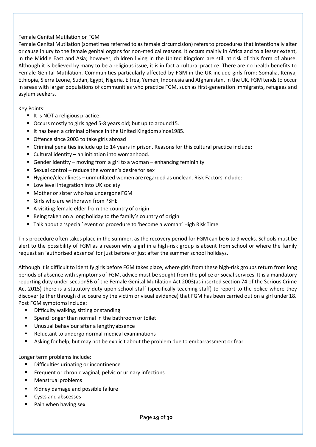# Female Genital Mutilation or FGM

Female Genital Mutilation (sometimes referred to as female circumcision) refers to procedures that intentionally alter or cause injury to the female genital organs for non-medical reasons. It occurs mainly in Africa and to a lesser extent, in the Middle East and Asia; however, children living in the United Kingdom are still at risk of this form of abuse. Although it is believed by many to be a religious issue, it is in fact a cultural practice. There are no health benefits to Female Genital Mutilation. Communities particularly affected by FGM in the UK include girls from: Somalia, Kenya, Ethiopia, Sierra Leone, Sudan, Egypt, Nigeria, Eitrea, Yemen, Indonesia and Afghanistan. In the UK, FGM tends to occur in areas with larger populations of communities who practice FGM, such as first-generation immigrants, refugees and asylum seekers.

## Key Points:

- It is NOT a religious practice.
- Occurs mostly to girls aged 5-8 years old; but up to around 15.
- It has been a criminal offence in the United Kingdom since1985.
- Offence since 2003 to take girls abroad
- Criminal penalties include up to 14 years in prison. Reasons for this cultural practice include:
- Cultural identity an initiation into womanhood.
- **E** Gender identity moving from a girl to a woman enhancing femininity
- Sexual control reduce the woman's desire for sex
- Hygiene/cleanliness unmutilated women are regarded as unclean. Risk Factorsinclude:
- Low level integration into UK society
- Mother or sister who has undergone FGM
- Girls who are withdrawn from PSHE
- A visiting female elder from the country of origin
- Being taken on a long holiday to the family's country of origin
- Talk about a 'special' event or procedure to 'become a woman' High Risk Time

This procedure often takes place in the summer, as the recovery period for FGM can be 6 to 9 weeks. Schools must be alert to the possibility of FGM as a reason why a girl in a high-risk group is absent from school or where the family request an 'authorised absence' for just before or just after the summer school holidays.

Although it is difficult to identify girls before FGM takes place, where girls from these high-risk groups return from long periods of absence with symptoms of FGM, advice must be sought from the police or social services. It is a mandatory reporting duty under section5B of the Female Genital Mutilation Act 2003(as inserted section 74 of the Serious Crime Act 2015) there is a statutory duty upon school staff (specifically teaching staff) to report to the police where they discover (either through disclosure by the victim or visual evidence) that FGM has been carried out on a girl under 18. Post FGM symptomsinclude:

- Difficulty walking, sitting or standing
- Spend longer than normal in the bathroom or toilet
- Unusual behaviour after a lengthy absence
- Reluctant to undergo normal medical examinations
- Asking for help, but may not be explicit about the problem due to embarrassment or fear.

Longer term problems include:

- Difficulties urinating or incontinence
- Frequent or chronic vaginal, pelvic or urinary infections
- Menstrual problems
- Kidney damage and possible failure
- Cysts and abscesses
- Pain when having sex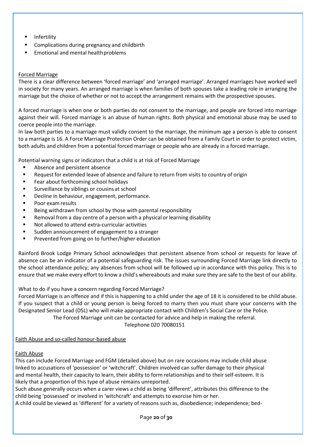- **Infertility**
- Complications during pregnancy and childbirth
- Emotional and mental health problems

## Forced Marriage

There is a clear difference between 'forced marriage' and 'arranged marriage'. Arranged marriages have worked well in society for many years. An arranged marriage is when families of both spouses take a leading role in arranging the marriage but the choice of whether or not to accept the arrangement remains with the prospective spouses.

A forced marriage is when one or both parties do not consent to the marriage, and people are forced into marriage against their will. Forced marriage is an abuse of human rights. Both physical and emotional abuse may be used to coerce people into the marriage.

In law both parties to a marriage must validly consent to the marriage, the minimum age a person is able to consent to a marriage is 16. A Force Marriage Protection Order can be obtained from a Family Court in order to protect victim, both adults and children from a potential forced marriage or people who are already in a forced marriage.

Potential warning signs or indicators that a child is at risk of Forced Marriage

- Absence and persistent absence
- Request for extended leave of absence and failure to return from visits to country of origin
- Fear about forthcoming school holidays
- Surveillance by siblings or cousins at school
- Decline in behaviour, engagement, performance.
- Poor exam results
- Being withdrawn from school by those with parental responsibility
- Removal from a day centre of a person with a physical or learning disability
- Not allowed to attend extra-curricular activities
- Sudden announcement of engagement to a stranger
- Prevented from going on to further/higher education

Rainford Brook Lodge Primary School acknowledges that persistent absence from school or requests for leave of absence can be an indicator of a potential safeguarding risk. The issues surrounding Forced Marriage link directly to the school attendance policy; any absences from school will be followed up in accordance with this policy. This is to ensure that we make every effort to know a child's whereabouts and make sure they are safe to the best of our ability.

What to do if you have a concern regarding Forced Marriage?

Forced Marriage is an offence and if this is happening to a child under the age of 18 it is considered to be child abuse. If you suspect that a child or young person is being forced to marry then you must share your concerns with the Designated Senior Lead (DSL) who will make appropriate contact with Children's Social Care or the Police.

The Forced Marriage unit can be contacted for advice and help in making the referral.

Telephone 020 70080151

# Faith Abuse and so-called honour-based abuse

# Faith Abuse

This can include Forced Marriage and FGM (detailed above) but on rare occasions may include child abuse linked to accusations of 'possession' or 'witchcraft'. Children involved can suffer damage to their physical and mental health, their capacity to learn, their ability to form relationships and to their self-esteem. It is likely that a proportion of this type of abuse remains unreported.

Such abuse generally occurs when a carer views a child as being 'different', attributes this difference to the child being 'possessed' or involved in 'witchcraft' and attempts to exorcise him or her.

A child could be viewed as 'different' for a variety of reasons such as, disobedience; independence; bed-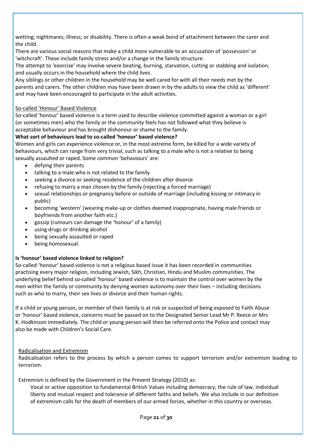wetting; nightmares; illness; or disability. There is often a weak bond of attachment between the carer and the child.

There are various social reasons that make a child more vulnerable to an accusation of 'possession' or 'witchcraft'. These include family stress and/or a change in the family structure.

The attempt to 'exorcise' may involve severe beating, burning, starvation, cutting or stabbing and isolation, and usually occurs in the household where the child lives.

Any siblings or other children in the household may be well cared for with all their needs met by the parents and carers. The other children may have been drawn in by the adults to view the child as 'different' and may have been encouraged to participate in the adult activities.

## So-called 'Honour' Based Violence

So-called 'honour' based violence is a term used to describe violence committed against a woman or a girl (or sometimes men) who the family or the community feels has not followed what they believe is acceptable behaviour and has brought dishonour or shame to the family.

# **What sort of behaviours lead to so-called 'honour' based violence?**

Women and girls can experience violence or, in the most extreme form, be killed for a wide variety of behaviours, which can range from very trivial, such as talking to a male who is not a relative to being sexually assaulted or raped. Some common 'behaviours' are:

- defying their parents
- talking to a male who is not related to the family
- seeking a divorce or seeking residence of the children after divorce
- refusing to marry a man chosen by the family (rejecting a forced marriage)
- sexual relationships or pregnancy before or outside of marriage (including kissing or intimacy in public)
- becoming 'western' (wearing make-up or clothes deemed inappropriate, having male friends or boyfriends from another faith etc.)
- gossip (rumours can damage the 'honour' of a family)
- using drugs or drinking alcohol
- being sexually assaulted or raped
- being homosexual.

# **Is 'honour' based violence linked to religion?**

So-called 'honour' based violence is not a religious based issue it has been recorded in communities practising every major religion, including Jewish, Sikh, Christian, Hindu and Muslim communities. The underlying belief behind so-called 'honour' based violence is to maintain the control over women by the men within the family or community by denying women autonomy over their lives – including decisions such as who to marry, their sex lives or divorce and their human rights.

If a child or young person, or member of their family is at risk or suspected of being exposed to Faith Abuse or 'honour' based violence, concerns must be passed on to the Designated Senior Lead Mr P. Reece or Mrs K. Hodkinson immediately. The child or young person will then be referred onto the Police and contact may also be made with Children's Social Care.

# Radicalisation and Extremism

Radicalisation refers to the process by which a person comes to support terrorism and/or extremism leading to terrorism.

Extremism is defined by the Government in the Prevent Strategy (2010) as:

Vocal or active opposition to fundamental British Values including democracy, the rule of law, individual liberty and mutual respect and tolerance of different faiths and beliefs. We also include in our definition of extremism calls for the death of members of our armed forces, whether in this country or overseas.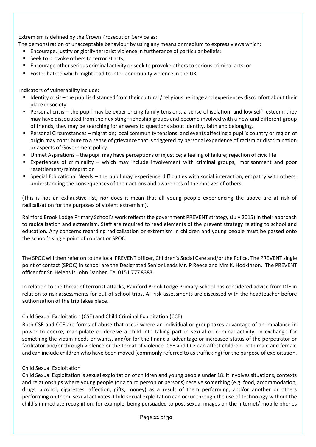Extremism is defined by the Crown Prosecution Service as:

- The demonstration of unacceptable behaviour by using any means or medium to express views which:
	- Encourage, justify or glorify terrorist violence in furtherance of particular beliefs;
	- Seek to provoke others to terrorist acts;
	- Encourage other serious criminal activity or seek to provoke others to serious criminal acts; or
	- Foster hatred which might lead to inter-community violence in the UK

Indicators of vulnerability include:

- Identity crisis the pupil is distanced from their cultural / religious heritage and experiences discomfort about their place in society
- Personal crisis the pupil may be experiencing family tensions, a sense of isolation; and low self- esteem; they may have dissociated from their existing friendship groups and become involved with a new and different group of friends; they may be searching for answers to questions about identity, faith and belonging.
- Personal Circumstances migration; local community tensions; and events affecting a pupil's country or region of origin may contribute to a sense of grievance that is triggered by personal experience of racism or discrimination or aspects of Government policy.
- Unmet Aspirations the pupil may have perceptions of injustice; a feeling of failure; rejection of civic life
- Experiences of criminality which may include involvement with criminal groups, imprisonment and poor resettlement/reintegration
- Special Educational Needs the pupil may experience difficulties with social interaction, empathy with others, understanding the consequences of their actions and awareness of the motives of others

(This is not an exhaustive list, nor does it mean that all young people experiencing the above are at risk of radicalisation for the purposes of violent extremism).

Rainford Brook Lodge Primary School's work reflects the government PREVENT strategy (July 2015) in their approach to radicalisation and extremism. Staff are required to read elements of the prevent strategy relating to school and education. Any concerns regarding radicalisation or extremism in children and young people must be passed onto the school's single point of contact or SPOC.

The SPOC will then refer on to the local PREVENT officer, Children's Social Care and/or the Police. The PREVENT single point of contact (SPOC) in school are the Designated Senior Leads Mr. P Reece and Mrs K. Hodkinson. The PREVENT officer for St. Helens is John Danher. Tel 0151 777 8383.

In relation to the threat of terrorist attacks, Rainford Brook Lodge Primary School has considered advice from DfE in relation to risk assessments for out-of-school trips. All risk assessments are discussed with the headteacher before authorisation of the trip takes place.

# Child Sexual Exploitation (CSE) and Child Criminal Exploitation (CCE)

Both CSE and CCE are forms of abuse that occur where an individual or group takes advantage of an imbalance in power to coerce, manipulate or deceive a child into taking part in sexual or criminal activity, in exchange for something the victim needs or wants, and/or for the financial advantage or increased status of the perpetrator or facilitator and/or through violence or the threat of violence. CSE and CCE can affect children, both male and female and can include children who have been moved (commonly referred to as trafficking) for the purpose of exploitation.

#### Child Sexual Exploitation

Child Sexual Exploitation is sexual exploitation of children and young people under 18. It involves situations, contexts and relationships where young people (or a third person or persons) receive something (e.g. food, accommodation, drugs, alcohol, cigarettes, affection, gifts, money) as a result of them performing, and/or another or others performing on them, sexual activates. Child sexual exploitation can occur through the use of technology without the child's immediate recognition; for example, being persuaded to post sexual images on the internet/ mobile phones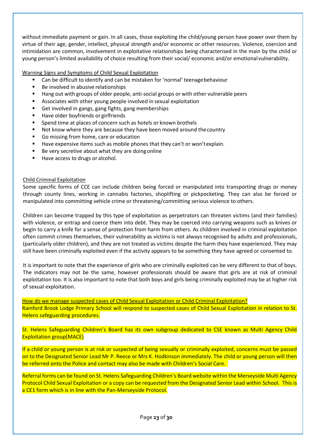without immediate payment or gain. In all cases, those exploiting the child/young person have power over them by virtue of their age, gender, intellect, physical strength and/or economic or other resources. Violence, coercion and intimidation are common, involvement in exploitative relationships being characterised in the main by the child or young person's limited availability of choice resulting from their social/ economic and/or emotional vulnerability.

## Warning Signs and Symptoms of Child Sexual Exploitation

- Can be difficult to identify and can be mistaken for 'normal' teenagebehaviour
- Be involved in abusive relationships
- Hang out with groups of older people, anti-social groups or with other vulnerable peers
- Associates with other young people involved in sexual exploitation
- Get involved in gangs, gang fights, gang memberships
- Have older boyfriends or girlfriends
- Spend time at places of concern such as hotels or known brothels
- Not know where they are because they have been moved around the country
- Go missing from home, care or education
- Have expensive items such as mobile phones that they can't or won't explain.
- Be very secretive about what they are doing online
- Have access to drugs or alcohol.

#### Child Criminal Exploitation

Some specific forms of CCE can include children being forced or manipulated into transporting drugs or money through county lines, working in cannabis factories, shoplifting or pickpocketing. They can also be forced or manipulated into committing vehicle crime or threatening/committing serious violence to others.

Children can become trapped by this type of exploitation as perpetrators can threaten victims (and their families) with violence, or entrap and coerce them into debt. They may be coerced into carrying weapons such as knives or begin to carry a knife for a sense of protection from harm from others. As children involved in criminal exploitation often commit crimes themselves, their vulnerability as victims is not always recognised by adults and professionals, (particularly older children), and they are not treated as victims despite the harm they have experienced. They may still have been criminally exploited even if the activity appears to be something they have agreed or consented to.

It is important to note that the experience of girls who are criminally exploited can be very different to that of boys. The indicators may not be the same, however professionals should be aware that girls are at risk of criminal exploitation too. It is also important to note that both boys and girls being criminally exploited may be at higher risk of sexual exploitation.

How do we manage suspected cases of Child Sexual Exploitation or Child Criminal Exploitation? Rainford Brook Lodge Primary School will respond to suspected cases of Child Sexual Exploitation in relation to St. Helens safeguarding procedures.

St. Helens Safeguarding Children's Board has its own subgroup dedicated to CSE known as Multi Agency Child Exploitation group(MACE)

If a child or young person is at risk or suspected of being sexually or criminally exploited, concerns must be passed on to the Designated Senior Lead Mr P. Reece or Mrs K. Hodkinson immediately. The child or young person will then be referred onto the Police and contact may also be made with Children's Social Care.

Referral forms can be found on St. Helens Safeguarding Children's Board website within the Merseyside Multi Agency Protocol Child Sexual Exploitation or a copy can be requested from the Designated Senior Lead within School. This is a CE1 form which is in line with the Pan-Merseyside Protocol.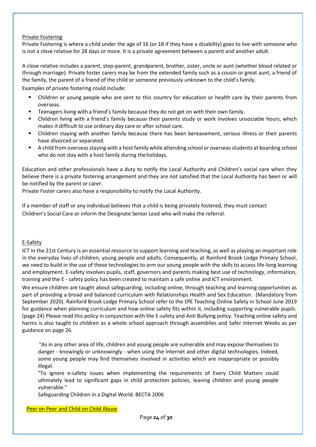### Private Fostering

Private Fostering is where a child under the age of 16 (or 18 if they have a disability) goes to live with someone who is not a close relative for 28 days or more. It is a private agreement between a parent and another adult.

A close relative includes a parent, step-parent, grandparent, brother, sister, uncle or aunt (whether blood related or through marriage). Private foster carers may be from the extended family such as a cousin or great aunt, a friend of the family, the parent of a friend of the child or someone previously unknown to the child's family.

Examples of private fostering could include:

- Children or young people who are sent to this country for education or health care by their parents from overseas.
- **EXECT** Teenagers living with a friend's family because they do not get on with their own family.
- **EXECO IDER I** Children living with a friend's family because their parents study or work involves unsociable hours, which makes it difficult to use ordinary day care or after school care.
- Children staying with another family because there has been bereavement, serious illness or their parents have divorced or separated.
- A child from overseas staying with a host family while attending school or overseas students at boarding school who do not stay with a host family during the holidays.

Education and other professionals have a duty to notify the Local Authority and Children's social care when they believe there is a private fostering arrangement and they are not satisfied that the Local Authority has been or will be notified by the parent or carer.

Private Foster carers also have a responsibility to notify the Local Authority.

If a member of staff or any individual believes that a child is being privately fostered, they must contact Children's Social Care or inform the Designate Senior Lead who will make the referral.

# E-Safety

ICT in the 21st Century is an essential resource to support learning and teaching, as well as playing an important role in the everyday lives of children, young people and adults. Consequently, at Rainford Brook Lodge Primary School, we need to build in the use of these technologies to arm our young people with the skills to access life-long learning and employment. E-safety involves pupils, staff, governors and parents making best use of technology, information, training and the E - safety policy has been created to maintain a safe online and ICT environment.

We ensure children are taught about safeguarding, including online, through teaching and learning opportunities as part of providing a broad and balanced curriculum with Relationships Health and Sex Education. (Mandatory from September 2020). Rainford Brook Lodge Primary School refer to the DfE Teaching Online Safety in School June 2019 for guidance when planning curriculum and how online safety fits within it, including supporting vulnerable pupils. (page 24) Please read this policy in conjunction with the E-safety and Anti Bullying policy. Teaching online safety and harms is also taught to children as a whole school approach through assemblies and Safer Internet Weeks as per guidance on page 26.

"As in any other area of life, children and young people are vulnerable and may expose themselves to danger - knowingly or unknowingly - when using the Internet and other digital technologies. Indeed, some young people may find themselves involved in activities which are inappropriate or possibly illegal.

"To ignore e-safety issues when implementing the requirements of Every Child Matters could ultimately lead to significant gaps in child protection policies, leaving children and young people vulnerable."

Safeguarding Children in a Digital World. BECTA 2006

Peer on Peer and Child on Child Abuse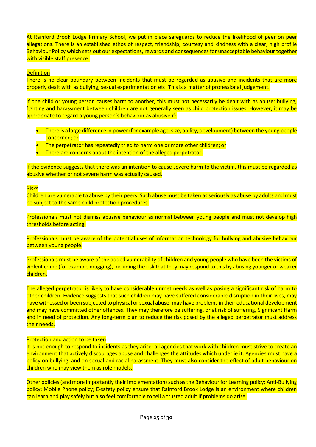At Rainford Brook Lodge Primary School, we put in place safeguards to reduce the likelihood of peer on peer allegations. There is an established ethos of respect, friendship, courtesy and kindness with a clear, high profile Behaviour Policy which sets out our expectations, rewards and consequences for unacceptable behaviour together with visible staff presence.

#### **Definition**

There is no clear boundary between incidents that must be regarded as abusive and incidents that are more properly dealt with as bullying, sexual experimentation etc. This is a matter of professional judgement.

If one child or young person causes harm to another, this must not necessarily be dealt with as abuse: bullying, fighting and harassment between children are not generally seen as child protection issues. However, it may be appropriate to regard a young person's behaviour as abusive if:

- There is a large difference in power (for example age, size, ability, development) between the young people concerned; or
- The perpetrator has repeatedly tried to harm one or more other children; or
- There are concerns about the intention of the alleged perpetrator.

If the evidence suggests that there was an intention to cause severe harm to the victim, this must be regarded as abusive whether or not severe harm was actually caused.

## Risks

Children are vulnerable to abuse by their peers. Such abuse must be taken as seriously as abuse by adults and must be subject to the same child protection procedures.

Professionals must not dismiss abusive behaviour as normal between young people and must not develop high thresholds before acting.

Professionals must be aware of the potential uses of information technology for bullying and abusive behaviour between young people.

Professionals must be aware of the added vulnerability of children and young people who have been the victims of violent crime (for example mugging), including the risk that they may respond to this by abusing younger or weaker children.

The alleged perpetrator is likely to have considerable unmet needs as well as posing a significant risk of harm to other children. Evidence suggests that such children may have suffered considerable disruption in their lives, may have witnessed or been subjected to physical o[r sexual abuse,](http://trixresources.proceduresonline.com/nat_key/keywords/sexual_abuse.html) may have problems in their educational development and may have committed other offences. They may therefore be suffering, or at risk of suffering, [Significant Harm](http://trixresources.proceduresonline.com/nat_key/keywords/significant_harm.html)  and in need of protection. Any long-term plan to reduce the risk posed by the alleged perpetrator must address their needs.

#### Protection and action to be taken

It is not enough to respond to incidents as they arise: all agencies that work with children must strive to create an environment that actively discourages abuse and challenges the attitudes which underlie it. Agencies must have a policy on bullying, and on sexual and racial harassment. They must also consider the effect of adult behaviour on children who may view them as role models.

Other policies (and more importantly their implementation) such as the Behaviour for Learning policy; Anti-Bullying policy; Mobile Phone policy; E-safety policy ensure that Rainford Brook Lodge is an environment where children can learn and play safely but also feel comfortable to tell a trusted adult if problems do arise.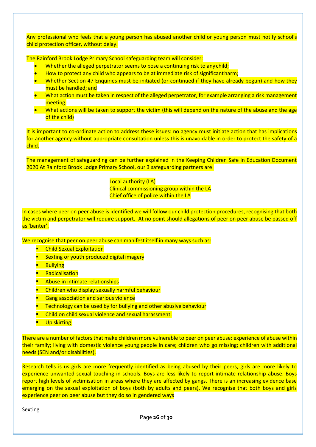Any professional who feels that a young person has abused another child or young person must notify school's child protection officer, without delay.

The Rainford Brook Lodge Primary School safeguarding team will consider:

- Whether the alleged perpetrator seems to pose a continuing risk to any child;
- How to protect any child who appears to be at immediate risk of significantharm;
- Whether Section 47 [Enquiries](http://trixresources.proceduresonline.com/nat_key/keywords/sec_47_enq.html) must be initiated (or continued if they have already begun) and how they must be handled; and
- What action must be taken in respect of the alleged perpetrator, for example arranging a risk management meeting.
- What actions will be taken to support the victim (this will depend on the nature of the abuse and the age of the child)

It is important to co-ordinate action to address these issues: no agency must initiate action that has implications for another agency without appropriate consultation unless this is unavoidable in order to protect the safety of a child.

The management of safeguarding can be further explained in the Keeping Children Safe in Education Document 2020 At Rainford Brook Lodge Primary School, our 3 safeguarding partners are:

> Local authority (LA) Clinical commissioning group within the LA Chief office of police within the LA

In cases where peer on peer abuse is identified we will follow our child protection procedures, recognising that both the victim and perpetrator will require support. At no point should allegations of peer on peer abuse be passed off as 'banter'.

We recognise that peer on peer abuse can manifest itself in many ways such as:

- Child Sexual Exploitation
- **Sexting or youth produced digital imagery**
- **Bullving**
- **Radicalisation**
- Abuse in intimate relationships
- Children who display sexually harmful behaviour
- **Gang association and serious violence**
- **Technology can be used by for bullying and other abusive behaviour**
- Child on child sexual violence and sexual harassment.
- **■** Up skirting

There are a number of factors that make children more vulnerable to peer on peer abuse: experience of abuse within their family; living with domestic violence young people in care; children who go missing; children with additional needs (SEN and/or disabilities).

Research tells is us girls are more frequently identified as being abused by their peers, girls are more likely to experience unwanted sexual touching in schools. Boys are less likely to report intimate relationship abuse. Boys report high levels of victimisation in areas where they are affected by gangs. There is an increasing evidence base emerging on the sexual exploitation of boys (both by adults and peers). We recognise that both boys and girls experience peer on peer abuse but they do so in gendered ways

Sexting

Page **26** of **30**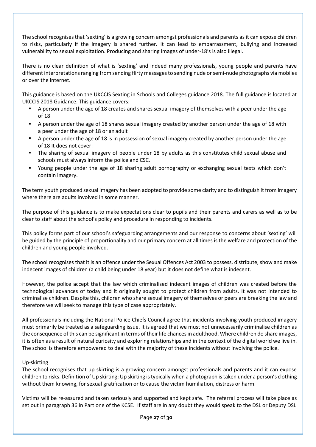The school recognises that 'sexting' is a growing concern amongst professionals and parents as it can expose children to risks, particularly if the imagery is shared further. It can lead to embarrassment, bullying and increased vulnerability to sexual exploitation. Producing and sharing images of under-18's is also illegal.

There is no clear definition of what is 'sexting' and indeed many professionals, young people and parents have different interpretations ranging from sending flirty messages to sending nude or semi-nude photographs via mobiles or over the internet.

This guidance is based on the UKCCIS Sexting in Schools and Colleges guidance 2018. The full guidance is located at UKCCIS 2018 Guidance. This guidance covers:

- A person under the age of 18 creates and shares sexual imagery of themselves with a peer under the age of 18
- A person under the age of 18 shares sexual imagery created by another person under the age of 18 with a peer under the age of 18 or an adult
- A person under the age of 18 is in possession of sexual imagery created by another person under the age of 18 It does not cover:
- The sharing of sexual imagery of people under 18 by adults as this constitutes child sexual abuse and schools must always inform the police and CSC.
- Young people under the age of 18 sharing adult pornography or exchanging sexual texts which don't contain imagery.

The term youth produced sexual imagery has been adopted to provide some clarity and to distinguish it from imagery where there are adults involved in some manner.

The purpose of this guidance is to make expectations clear to pupils and their parents and carers as well as to be clear to staff about the school's policy and procedure in responding to incidents.

This policy forms part of our school's safeguarding arrangements and our response to concerns about 'sexting' will be guided by the principle of proportionality and our primary concern at all times is the welfare and protection of the children and young people involved.

The school recognises that it is an offence under the Sexual Offences Act 2003 to possess, distribute, show and make indecent images of children (a child being under 18 year) but it does not define what is indecent.

However, the police accept that the law which criminalised indecent images of children was created before the technological advances of today and it originally sought to protect children from adults. It was not intended to criminalise children. Despite this, children who share sexual imagery of themselves or peers are breaking the law and therefore we will seek to manage this type of case appropriately.

All professionals including the National Police Chiefs Council agree that incidents involving youth produced imagery must primarily be treated as a safeguarding issue. It is agreed that we must not unnecessarily criminalise children as the consequence of this can be significant in terms of their life chances in adulthood. Where children do share images, it is often as a result of natural curiosity and exploring relationships and in the context of the digital world we live in. The school is therefore empowered to deal with the majority of these incidents without involving the police.

# Up-skirting

The school recognises that up skirting is a growing concern amongst professionals and parents and it can expose children to risks. Definition of Up skirting: Up skirting is typically when a photograph is taken under a person's clothing without them knowing, for sexual gratification or to cause the victim humiliation, distress or harm.

Victims will be re-assured and taken seriously and supported and kept safe. The referral process will take place as set out in paragraph 36 in Part one of the KCSE. If staff are in any doubt they would speak to the DSL or Deputy DSL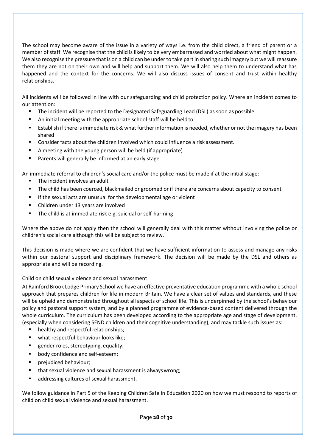The school may become aware of the issue in a variety of ways i.e. from the child direct, a friend of parent or a member of staff. We recognise that the child is likely to be very embarrassed and worried about what might happen. We also recognise the pressure that is on a child can be under to take part in sharing such imagery but we will reassure them they are not on their own and will help and support them. We will also help them to understand what has happened and the context for the concerns. We will also discuss issues of consent and trust within healthy relationships.

All incidents will be followed in line with our safeguarding and child protection policy. Where an incident comes to our attention:

- The incident will be reported to the Designated Safeguarding Lead (DSL) as soon as possible.
- An initial meeting with the appropriate school staff will be held to:
- Establish if there is immediate risk & what further information is needed, whether or not the imagery has been shared
- Consider facts about the children involved which could influence a risk assessment.
- A meeting with the young person will be held (if appropriate)
- Parents will generally be informed at an early stage

An immediate referral to children's social care and/or the police must be made if at the initial stage:

- The incident involves an adult
- The child has been coerced, blackmailed or groomed or if there are concerns about capacity to consent
- If the sexual acts are unusual for the developmental age or violent
- Children under 13 years are involved
- The child is at immediate risk e.g. suicidal or self-harming

Where the above do not apply then the school will generally deal with this matter without involving the police or children's social care although this will be subject to review.

This decision is made where we are confident that we have sufficient information to assess and manage any risks within our pastoral support and disciplinary framework. The decision will be made by the DSL and others as appropriate and will be recording.

# Child on child sexual violence and sexual harassment

At Rainford Brook Lodge Primary School we have an effective preventative education programme with a whole school approach that prepares children for life in modern Britain. We have a clear set of values and standards, and these will be upheld and demonstrated throughout all aspects of school life. This is underpinned by the school's behaviour policy and pastoral support system, and by a planned programme of evidence-based content delivered through the whole curriculum. The curriculum has been developed according to the appropriate age and stage of development. (especially when considering SEND children and their cognitive understanding), and may tackle such issues as:

- healthy and respectful relationships;
- what respectful behaviour looks like;
- gender roles, stereotyping, equality;
- body confidence and self-esteem;
- prejudiced behaviour;
- that sexual violence and sexual harassment is always wrong;
- addressing cultures of sexual harassment.

We follow guidance in Part 5 of the Keeping Children Safe in Education 2020 on how we must respond to reports of child on child sexual violence and sexual harassment.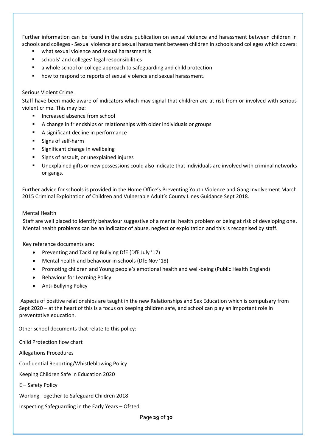Further information can be found in the extra publication on sexual violence and harassment between children in schools and colleges - Sexual violence and sexual harassment between children in schools and colleges which covers:

- what sexual violence and sexual harassment is
- schools' and colleges' legal responsibilities
- a whole school or college approach to safeguarding and child protection
- how to respond to reports of sexual violence and sexual harassment.

#### Serious Violent Crime

Staff have been made aware of indicators which may signal that children are at risk from or involved with serious violent crime. This may be:

- Increased absence from school
- A change in friendships or relationships with older individuals or groups
- A significant decline in performance
- Signs of self-harm
- Significant change in wellbeing
- Signs of assault, or unexplained injures
- Unexplained gifts or new possessions could also indicate that individuals are involved with criminal networks or gangs.

Further advice for schools is provided in the Home Office's Preventing Youth Violence and Gang Involvement March 2015 Criminal Exploitation of Children and Vulnerable Adult's County Lines Guidance Sept 2018.

#### Mental Health

Staff are well placed to identify behaviour suggestive of a mental health problem or being at risk of developing one. Mental health problems can be an indicator of abuse, neglect or exploitation and this is recognised by staff.

Key reference documents are:

- Preventing and Tackling Bullying DfE (DfE July '17)
- Mental health and behaviour in schools (DfE Nov '18)
- Promoting children and Young people's emotional health and well-being (Public Health England)
- Behaviour for Learning Policy
- Anti-Bullying Policy

Aspects of positive relationships are taught in the new Relationships and Sex Education which is compulsary from Sept 2020 – at the heart of this is a focus on keeping children safe, and school can play an important role in preventative education.

Other school documents that relate to this policy:

Child Protection flow chart

Allegations Procedures

Confidential Reporting/Whistleblowing Policy

Keeping Children Safe in Education 2020

E – Safety Policy

Working Together to Safeguard Children 2018

Inspecting Safeguarding in the Early Years – Ofsted

Page **29** of **30**